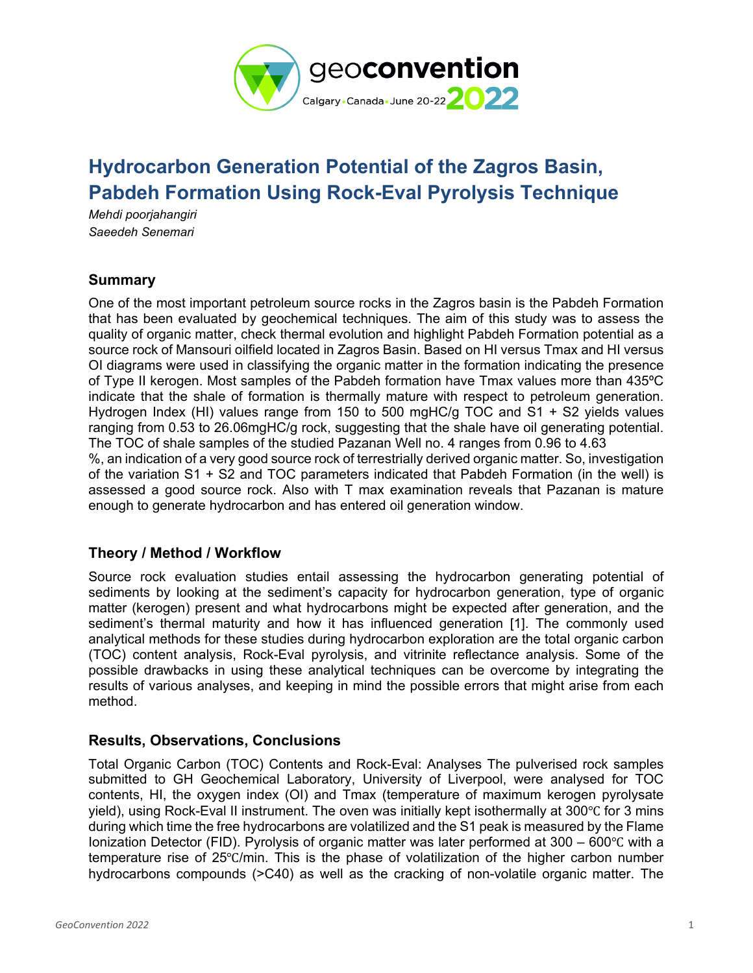

# **Hydrocarbon Generation Potential of the Zagros Basin, Pabdeh Formation Using Rock-Eval Pyrolysis Technique**

*Mehdi poorjahangiri Saeedeh Senemari* 

## **Summary**

One of the most important petroleum source rocks in the Zagros basin is the Pabdeh Formation that has been evaluated by geochemical techniques. The aim of this study was to assess the quality of organic matter, check thermal evolution and highlight Pabdeh Formation potential as a source rock of Mansouri oilfield located in Zagros Basin. Based on HI versus Tmax and HI versus OI diagrams were used in classifying the organic matter in the formation indicating the presence of Type II kerogen. Most samples of the Pabdeh formation have Tmax values more than 435ºC indicate that the shale of formation is thermally mature with respect to petroleum generation. Hydrogen Index (HI) values range from 150 to 500 mgHC/g TOC and S1 + S2 yields values ranging from 0.53 to 26.06mgHC/g rock, suggesting that the shale have oil generating potential. The TOC of shale samples of the studied Pazanan Well no. 4 ranges from 0.96 to 4.63 %, an indication of a very good source rock of terrestrially derived organic matter. So, investigation

of the variation S1 + S2 and TOC parameters indicated that Pabdeh Formation (in the well) is assessed a good source rock. Also with T max examination reveals that Pazanan is mature enough to generate hydrocarbon and has entered oil generation window.

## **Theory / Method / Workflow**

Source rock evaluation studies entail assessing the hydrocarbon generating potential of sediments by looking at the sediment's capacity for hydrocarbon generation, type of organic matter (kerogen) present and what hydrocarbons might be expected after generation, and the sediment's thermal maturity and how it has influenced generation [1]. The commonly used analytical methods for these studies during hydrocarbon exploration are the total organic carbon (TOC) content analysis, Rock-Eval pyrolysis, and vitrinite reflectance analysis. Some of the possible drawbacks in using these analytical techniques can be overcome by integrating the results of various analyses, and keeping in mind the possible errors that might arise from each method.

## **Results, Observations, Conclusions**

Total Organic Carbon (TOC) Contents and Rock-Eval: Analyses The pulverised rock samples submitted to GH Geochemical Laboratory, University of Liverpool, were analysed for TOC contents, HI, the oxygen index (OI) and Tmax (temperature of maximum kerogen pyrolysate yield), using Rock-Eval II instrument. The oven was initially kept isothermally at 300℃ for 3 mins during which time the free hydrocarbons are volatilized and the S1 peak is measured by the Flame Ionization Detector (FID). Pyrolysis of organic matter was later performed at 300 – 600℃ with a temperature rise of 25℃/min. This is the phase of volatilization of the higher carbon number hydrocarbons compounds (>C40) as well as the cracking of non-volatile organic matter. The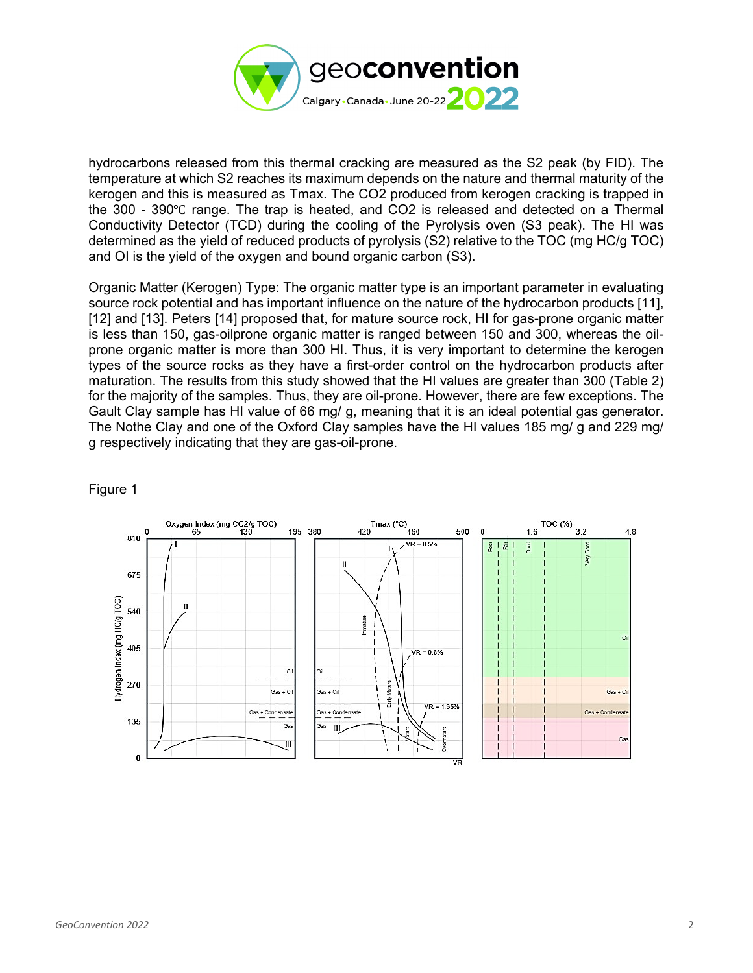

hydrocarbons released from this thermal cracking are measured as the S2 peak (by FID). The temperature at which S2 reaches its maximum depends on the nature and thermal maturity of the kerogen and this is measured as Tmax. The CO2 produced from kerogen cracking is trapped in the 300 - 390℃ range. The trap is heated, and CO2 is released and detected on a Thermal Conductivity Detector (TCD) during the cooling of the Pyrolysis oven (S3 peak). The HI was determined as the yield of reduced products of pyrolysis (S2) relative to the TOC (mg HC/g TOC) and OI is the yield of the oxygen and bound organic carbon (S3).

Organic Matter (Kerogen) Type: The organic matter type is an important parameter in evaluating source rock potential and has important influence on the nature of the hydrocarbon products [11], [12] and [13]. Peters [14] proposed that, for mature source rock, HI for gas-prone organic matter is less than 150, gas-oilprone organic matter is ranged between 150 and 300, whereas the oilprone organic matter is more than 300 HI. Thus, it is very important to determine the kerogen types of the source rocks as they have a first-order control on the hydrocarbon products after maturation. The results from this study showed that the HI values are greater than 300 (Table 2) for the majority of the samples. Thus, they are oil-prone. However, there are few exceptions. The Gault Clay sample has HI value of 66 mg/ g, meaning that it is an ideal potential gas generator. The Nothe Clay and one of the Oxford Clay samples have the HI values 185 mg/ g and 229 mg/ g respectively indicating that they are gas-oil-prone.



Figure 1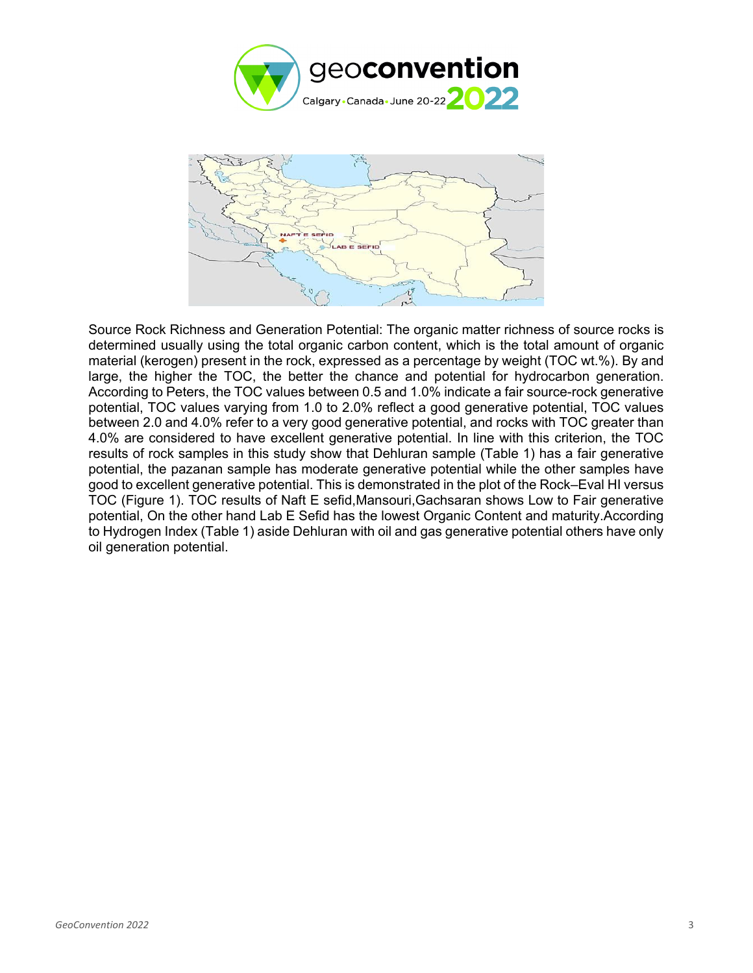![](_page_2_Picture_0.jpeg)

![](_page_2_Figure_1.jpeg)

Source Rock Richness and Generation Potential: The organic matter richness of source rocks is determined usually using the total organic carbon content, which is the total amount of organic material (kerogen) present in the rock, expressed as a percentage by weight (TOC wt.%). By and large, the higher the TOC, the better the chance and potential for hydrocarbon generation. According to Peters, the TOC values between 0.5 and 1.0% indicate a fair source-rock generative potential, TOC values varying from 1.0 to 2.0% reflect a good generative potential, TOC values between 2.0 and 4.0% refer to a very good generative potential, and rocks with TOC greater than 4.0% are considered to have excellent generative potential. In line with this criterion, the TOC results of rock samples in this study show that Dehluran sample (Table 1) has a fair generative potential, the pazanan sample has moderate generative potential while the other samples have good to excellent generative potential. This is demonstrated in the plot of the Rock–Eval HI versus TOC (Figure 1). TOC results of Naft E sefid,Mansouri,Gachsaran shows Low to Fair generative potential, On the other hand Lab E Sefid has the lowest Organic Content and maturity.According to Hydrogen Index (Table 1) aside Dehluran with oil and gas generative potential others have only oil generation potential.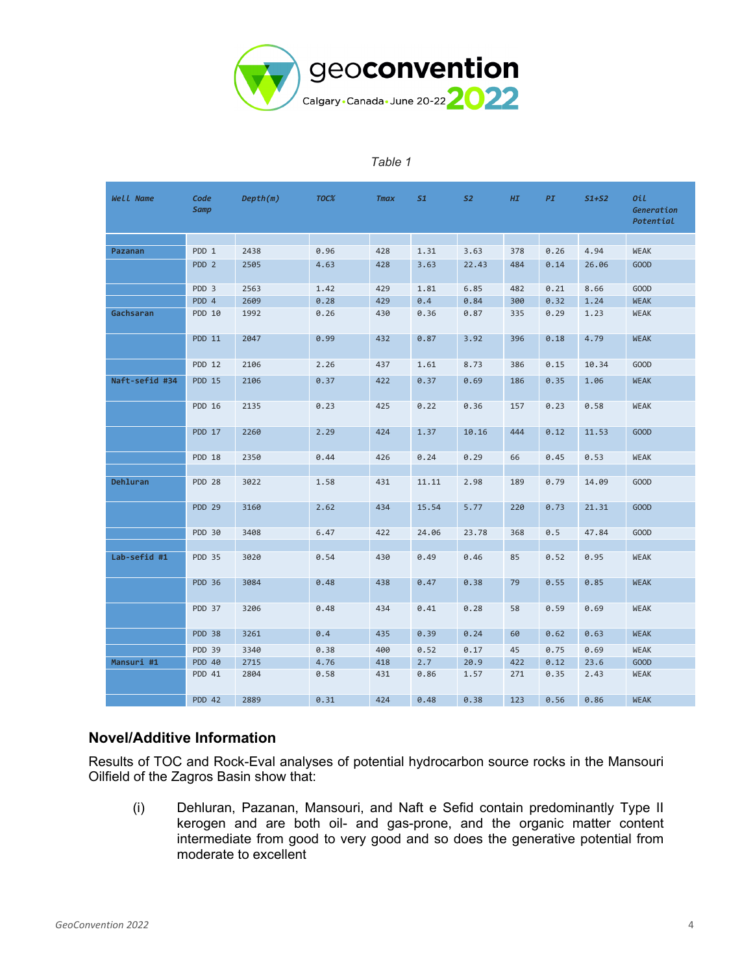![](_page_3_Picture_0.jpeg)

#### *Table 1*

| Well Name      | Code<br><b>Samp</b> | Depth(m) | TOC% | <b>Tmax</b> | 51    | <b>S2</b> | H I | PI   | $51+52$ | Oil<br>Generation<br>Potential |
|----------------|---------------------|----------|------|-------------|-------|-----------|-----|------|---------|--------------------------------|
|                |                     |          |      |             |       |           |     |      |         |                                |
| Pazanan        | PDD 1               | 2438     | 0.96 | 428         | 1.31  | 3.63      | 378 | 0.26 | 4.94    | <b>WEAK</b>                    |
|                | PDD <sub>2</sub>    | 2505     | 4.63 | 428         | 3.63  | 22.43     | 484 | 0.14 | 26.06   | GOOD                           |
|                | PDD 3               | 2563     | 1.42 | 429         | 1.81  | 6.85      | 482 | 0.21 | 8.66    | GOOD                           |
|                | PDD 4               | 2609     | 0.28 | 429         | 0.4   | 0.84      | 300 | 0.32 | 1.24    | <b>WEAK</b>                    |
| Gachsaran      | PDD 10              | 1992     | 0.26 | 430         | 0.36  | 0.87      | 335 | 0.29 | 1.23    | <b>WEAK</b>                    |
|                | PDD 11              | 2047     | 0.99 | 432         | 0.87  | 3.92      | 396 | 0.18 | 4.79    | <b>WEAK</b>                    |
|                | PDD 12              | 2106     | 2.26 | 437         | 1.61  | 8.73      | 386 | 0.15 | 10.34   | GOOD                           |
| Naft-sefid #34 | <b>PDD 15</b>       | 2106     | 0.37 | 422         | 0.37  | 0.69      | 186 | 0.35 | 1.06    | <b>WEAK</b>                    |
|                | PDD 16              | 2135     | 0.23 | 425         | 0.22  | 0.36      | 157 | 0.23 | 0.58    | <b>WEAK</b>                    |
|                | <b>PDD 17</b>       | 2260     | 2.29 | 424         | 1.37  | 10.16     | 444 | 0.12 | 11.53   | GOOD                           |
|                | PDD 18              | 2350     | 0.44 | 426         | 0.24  | 0.29      | 66  | 0.45 | 0.53    | <b>WEAK</b>                    |
|                |                     |          |      |             |       |           |     |      |         |                                |
| Dehluran       | <b>PDD 28</b>       | 3022     | 1.58 | 431         | 11.11 | 2.98      | 189 | 0.79 | 14.09   | <b>GOOD</b>                    |
|                | <b>PDD 29</b>       | 3160     | 2.62 | 434         | 15.54 | 5.77      | 220 | 0.73 | 21.31   | <b>GOOD</b>                    |
|                | PDD 30              | 3408     | 6.47 | 422         | 24.06 | 23.78     | 368 | 0.5  | 47.84   | <b>GOOD</b>                    |
|                |                     |          |      |             |       |           |     |      |         |                                |
| Lab-sefid #1   | <b>PDD 35</b>       | 3020     | 0.54 | 430         | 0.49  | 0.46      | 85  | 0.52 | 0.95    | <b>WEAK</b>                    |
|                | <b>PDD 36</b>       | 3084     | 0.48 | 438         | 0.47  | 0.38      | 79  | 0.55 | 0.85    | <b>WEAK</b>                    |
|                | PDD 37              | 3206     | 0.48 | 434         | 0.41  | 0.28      | 58  | 0.59 | 0.69    | <b>WEAK</b>                    |
|                | PDD 38              | 3261     | 0.4  | 435         | 0.39  | 0.24      | 60  | 0.62 | 0.63    | <b>WEAK</b>                    |
|                | <b>PDD 39</b>       | 3340     | 0.38 | 400         | 0.52  | 0.17      | 45  | 0.75 | 0.69    | <b>WEAK</b>                    |
| Mansuri #1     | <b>PDD 40</b>       | 2715     | 4.76 | 418         | 2.7   | 20.9      | 422 | 0.12 | 23.6    | GOOD                           |
|                | PDD 41              | 2804     | 0.58 | 431         | 0.86  | 1.57      | 271 | 0.35 | 2.43    | <b>WEAK</b>                    |
|                | <b>PDD 42</b>       | 2889     | 0.31 | 424         | 0.48  | 0.38      | 123 | 0.56 | 0.86    | <b>WEAK</b>                    |

#### **Novel/Additive Information**

Results of TOC and Rock-Eval analyses of potential hydrocarbon source rocks in the Mansouri Oilfield of the Zagros Basin show that:

(i) Dehluran, Pazanan, Mansouri, and Naft e Sefid contain predominantly Type II kerogen and are both oil- and gas-prone, and the organic matter content intermediate from good to very good and so does the generative potential from moderate to excellent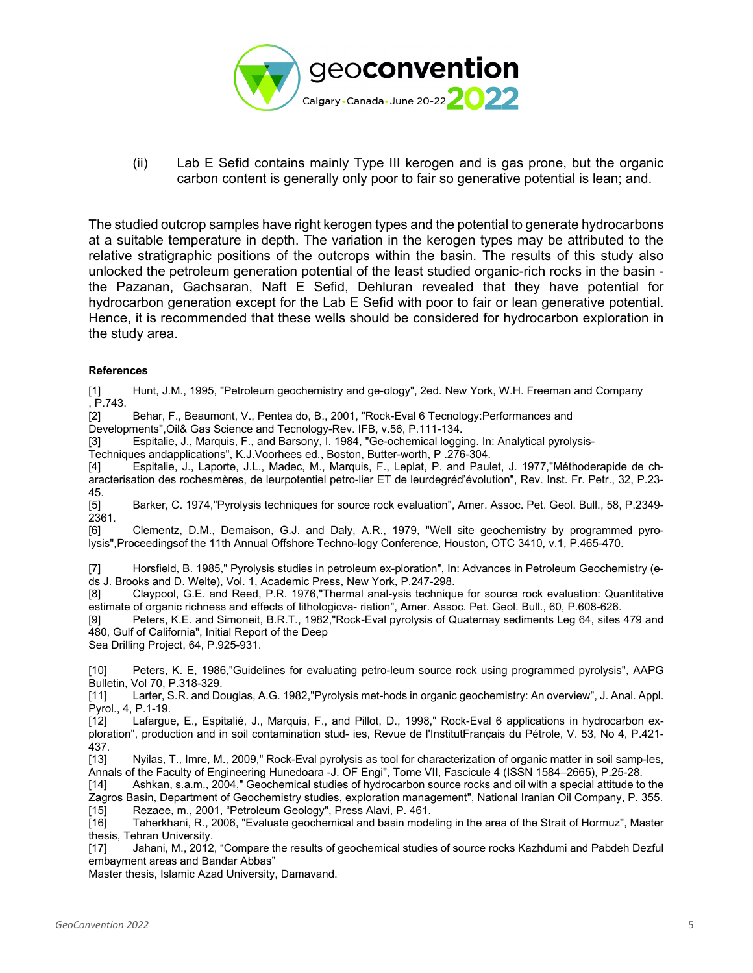![](_page_4_Picture_0.jpeg)

(ii) Lab E Sefid contains mainly Type III kerogen and is gas prone, but the organic carbon content is generally only poor to fair so generative potential is lean; and.

The studied outcrop samples have right kerogen types and the potential to generate hydrocarbons at a suitable temperature in depth. The variation in the kerogen types may be attributed to the relative stratigraphic positions of the outcrops within the basin. The results of this study also unlocked the petroleum generation potential of the least studied organic-rich rocks in the basin the Pazanan, Gachsaran, Naft E Sefid, Dehluran revealed that they have potential for hydrocarbon generation except for the Lab E Sefid with poor to fair or lean generative potential. Hence, it is recommended that these wells should be considered for hydrocarbon exploration in the study area.

#### **References**

[1] Hunt, J.M., 1995, "Petroleum geochemistry and ge-ology", 2ed. New York, W.H. Freeman and Company , P.743.

[2] Behar, F., Beaumont, V., Pentea do, B., 2001, "Rock-Eval 6 Tecnology:Performances and

Developments",Oil& Gas Science and Tecnology-Rev. IFB, v.56, P.111-134.

[3] Espitalie, J., Marquis, F., and Barsony, I. 1984, "Ge-ochemical logging. In: Analytical pyrolysis-<br>Techniques andapplications", K.J.Voorhees ed., Boston, Butter-worth, P. 276-304.

Les andapplications", K.J.Voorhees ed., Boston, Butter-worth, P .276-304.

[4] Espitalie, J., Laporte, J.L., Madec, M., Marquis, F., Leplat, P. and Paulet, J. 1977,"Méthoderapide de characterisation des rochesmères, de leurpotentiel petro-lier ET de leurdegréd'évolution", Rev. Inst. Fr. Petr., 32, P.23-

45.<br>[5] [5] Barker, C. 1974,"Pyrolysis techniques for source rock evaluation", Amer. Assoc. Pet. Geol. Bull., 58, P.2349- 2361.

[6] Clementz, D.M., Demaison, G.J. and Daly, A.R., 1979, "Well site geochemistry by programmed pyrolysis",Proceedingsof the 11th Annual Offshore Techno-logy Conference, Houston, OTC 3410, v.1, P.465-470.

[7] Horsfield, B. 1985," Pyrolysis studies in petroleum ex-ploration", In: Advances in Petroleum Geochemistry (eds J. Brooks and D. Welte), Vol. 1, Academic Press, New York, P.247-298.<br>[8] Claypool, G.E. and Reed, P.R. 1976, Thermal anal-ysis techniqu

Claypool, G.E. and Reed, P.R. 1976,"Thermal anal-ysis technique for source rock evaluation: Quantitative estimate of organic richness and effects of lithologicva- riation", Amer. Assoc. Pet. Geol. Bull., 60, P.608-626.

[9] Peters, K.E. and Simoneit, B.R.T., 1982,"Rock-Eval pyrolysis of Quaternay sediments Leg 64, sites 479 and 480, Gulf of California", Initial Report of the Deep

Sea Drilling Project, 64, P.925-931.

[10] Peters, K. E, 1986,"Guidelines for evaluating petro-leum source rock using programmed pyrolysis", AAPG Bulletin, Vol 70, P.318-329.

[11] Larter, S.R. and Douglas, A.G. 1982,"Pyrolysis met-hods in organic geochemistry: An overview", J. Anal. Appl. Pyrol., 4, P.1-19.

Lafargue, E., Espitalié, J., Marquis, F., and Pillot, D., 1998," Rock-Eval 6 applications in hydrocarbon exploration", production and in soil contamination stud- ies, Revue de l'InstitutFrançais du Pétrole, V. 53, No 4, P.421- 437.<br>[13]

Nyilas, T., Imre, M., 2009," Rock-Eval pyrolysis as tool for characterization of organic matter in soil samp-les, Annals of the Faculty of Engineering Hunedoara -J. OF Engi", Tome VII, Fascicule 4 (ISSN 1584–2665), P.25-28.<br>[14] Ashkan, s.a.m., 2004," Geochemical studies of hydrocarbon source rocks and oil with a special attitude to

Ashkan, s.a.m., 2004," Geochemical studies of hydrocarbon source rocks and oil with a special attitude to the Zagros Basin, Department of Geochemistry studies, exploration management", National Iranian Oil Company, P. 355.<br>[15] Rezaee, m., 2001, "Petroleum Geology", Press Alavi, P. 461.

[15] Rezaee, m., 2001, "Petroleum Geology", Press Alavi, P. 461.<br>[16] Taherkhani, R., 2006, "Evaluate geochemical and basin mode Taherkhani, R., 2006, "Evaluate geochemical and basin modeling in the area of the Strait of Hormuz", Master

thesis, Tehran University.<br>[17] Jahani, M., 2012 Jahani, M., 2012, "Compare the results of geochemical studies of source rocks Kazhdumi and Pabdeh Dezful embayment areas and Bandar Abbas"

Master thesis, Islamic Azad University, Damavand.